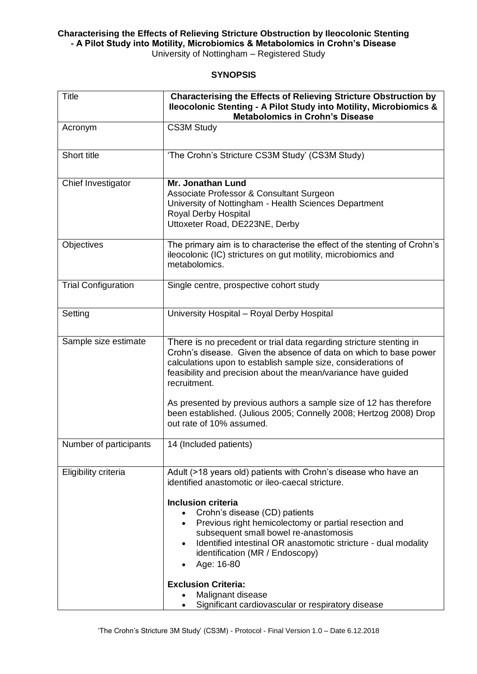**Characterising the Effects of Relieving Stricture Obstruction by Ileocolonic Stenting - A Pilot Study into Motility, Microbiomics & Metabolomics in Crohn's Disease** University of Nottingham – Registered Study

## **SYNOPSIS**

| <b>Title</b>               | <b>Characterising the Effects of Relieving Stricture Obstruction by</b><br><b>Ileocolonic Stenting - A Pilot Study into Motility, Microbiomics &amp;</b><br><b>Metabolomics in Crohn's Disease</b>                                                                                                                                                                                                                                        |
|----------------------------|-------------------------------------------------------------------------------------------------------------------------------------------------------------------------------------------------------------------------------------------------------------------------------------------------------------------------------------------------------------------------------------------------------------------------------------------|
| Acronym                    | <b>CS3M Study</b>                                                                                                                                                                                                                                                                                                                                                                                                                         |
| Short title                | 'The Crohn's Stricture CS3M Study' (CS3M Study)                                                                                                                                                                                                                                                                                                                                                                                           |
| Chief Investigator         | <b>Mr. Jonathan Lund</b><br>Associate Professor & Consultant Surgeon<br>University of Nottingham - Health Sciences Department<br><b>Royal Derby Hospital</b><br>Uttoxeter Road, DE223NE, Derby                                                                                                                                                                                                                                            |
| Objectives                 | The primary aim is to characterise the effect of the stenting of Crohn's<br>ileocolonic (IC) strictures on gut motility, microbiomics and<br>metabolomics.                                                                                                                                                                                                                                                                                |
| <b>Trial Configuration</b> | Single centre, prospective cohort study                                                                                                                                                                                                                                                                                                                                                                                                   |
| Setting                    | University Hospital - Royal Derby Hospital                                                                                                                                                                                                                                                                                                                                                                                                |
| Sample size estimate       | There is no precedent or trial data regarding stricture stenting in<br>Crohn's disease. Given the absence of data on which to base power<br>calculations upon to establish sample size, considerations of<br>feasibility and precision about the mean/variance have guided<br>recruitment.                                                                                                                                                |
|                            | As presented by previous authors a sample size of 12 has therefore<br>been established. (Julious 2005; Connelly 2008; Hertzog 2008) Drop<br>out rate of 10% assumed.                                                                                                                                                                                                                                                                      |
| Number of participants     | 14 (Included patients)                                                                                                                                                                                                                                                                                                                                                                                                                    |
| Eligibility criteria       | Adult (>18 years old) patients with Crohn's disease who have an<br>identified anastomotic or ileo-caecal stricture.<br><b>Inclusion criteria</b><br>Crohn's disease (CD) patients<br>Previous right hemicolectomy or partial resection and<br>subsequent small bowel re-anastomosis<br>Identified intestinal OR anastomotic stricture - dual modality<br>identification (MR / Endoscopy)<br>Age: 16-80<br>٠<br><b>Exclusion Criteria:</b> |
|                            | Malignant disease<br>Significant cardiovascular or respiratory disease<br>$\bullet$                                                                                                                                                                                                                                                                                                                                                       |